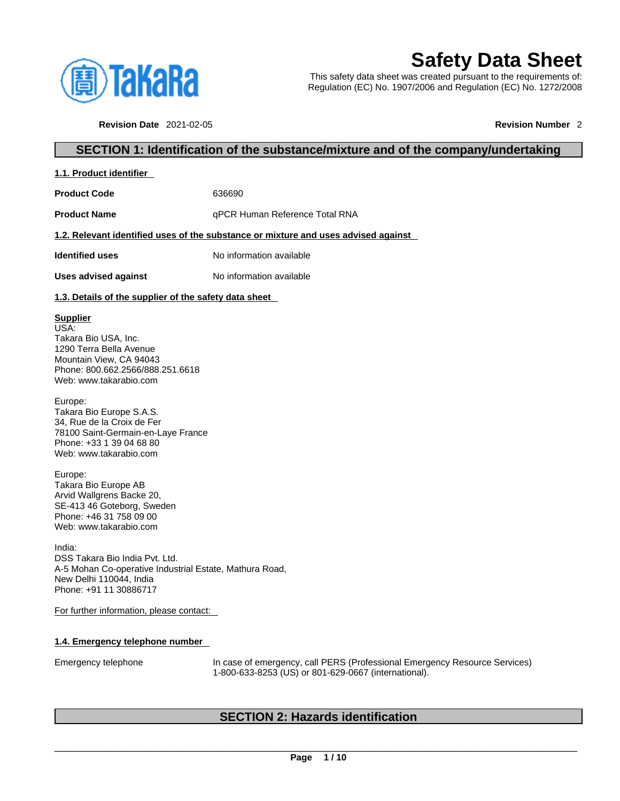

# **Safety Data Sheet**

This safety data sheet was created pursuant to the requirements of: Regulation (EC) No. 1907/2006 and Regulation (EC) No. 1272/2008

**Revision Date** 2021-02-05 **Revision Number** 2

# **SECTION 1: Identification of the substance/mixture and of the company/undertaking**

| 1.1. Product identifier |
|-------------------------|
|-------------------------|

**Product Code** 636690

**Product Name All approximate Product Name qPCR Human Reference Total RNA** 

### **1.2. Relevant identified uses of the substance or mixture and uses advised against**

**Identified uses** No information available

**Uses advised against** No information available

### **1.3. Details of the supplier of the safety data sheet**

### **Supplier**

USA: Takara Bio USA, Inc. 1290 Terra Bella Avenue Mountain View, CA 94043 Phone: 800.662.2566/888.251.6618 Web: www.takarabio.com

Europe: Takara Bio Europe S.A.S. 34, Rue de la Croix de Fer 78100 Saint-Germain-en-Laye France Phone: +33 1 39 04 68 80 Web: www.takarabio.com

Europe: Takara Bio Europe AB Arvid Wallgrens Backe 20, SE-413 46 Goteborg, Sweden Phone: +46 31 758 09 00 Web: www.takarabio.com

India: DSS Takara Bio India Pvt. Ltd. A-5 Mohan Co-operative Industrial Estate, Mathura Road, New Delhi 110044, India Phone: +91 11 30886717

For further information, please contact:

### **1.4. Emergency telephone number**

Emergency telephone In case of emergency, call PERS (Professional Emergency Resource Services) 1-800-633-8253 (US) or 801-629-0667 (international).

# **SECTION 2: Hazards identification**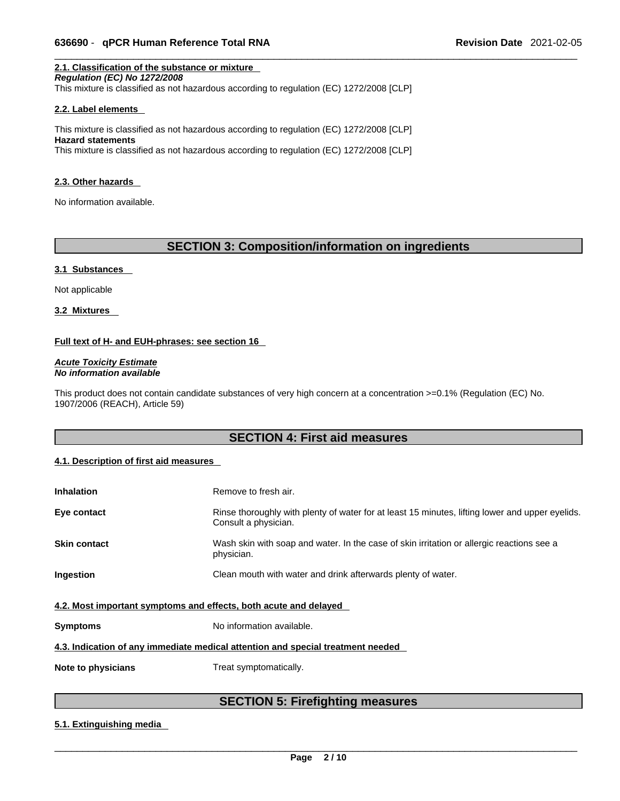### **2.1. Classification of the substance or mixture**

*Regulation (EC) No 1272/2008*  This mixture is classified as not hazardous according to regulation (EC) 1272/2008 [CLP]

### **2.2. Label elements**

This mixture is classified as not hazardous according to regulation (EC) 1272/2008 [CLP] **Hazard statements** This mixture is classified as not hazardous according to regulation (EC) 1272/2008 [CLP]

### **2.3. Other hazards**

No information available.

# **SECTION 3: Composition/information on ingredients**

### **3.1 Substances**

Not applicable

**3.2 Mixtures** 

### **Full text of H- and EUH-phrases: see section 16**

*Acute Toxicity Estimate No information available* 

This product does not contain candidate substances of very high concern at a concentration >=0.1% (Regulation (EC) No. 1907/2006 (REACH), Article 59)

### **SECTION 4: First aid measures**

### **4.1. Description of first aid measures**

| <b>Inhalation</b>                                                               | Remove to fresh air.                                                                                                    |  |
|---------------------------------------------------------------------------------|-------------------------------------------------------------------------------------------------------------------------|--|
| Eye contact                                                                     | Rinse thoroughly with plenty of water for at least 15 minutes, lifting lower and upper eyelids.<br>Consult a physician. |  |
| <b>Skin contact</b>                                                             | Wash skin with soap and water. In the case of skin irritation or allergic reactions see a<br>physician.                 |  |
| Ingestion                                                                       | Clean mouth with water and drink afterwards plenty of water.                                                            |  |
| 4.2. Most important symptoms and effects, both acute and delayed                |                                                                                                                         |  |
| <b>Symptoms</b>                                                                 | No information available.                                                                                               |  |
| 4.3. Indication of any immediate medical attention and special treatment needed |                                                                                                                         |  |
| Note to physicians                                                              | Treat symptomatically.                                                                                                  |  |

# **SECTION 5: Firefighting measures**

### **5.1. Extinguishing media**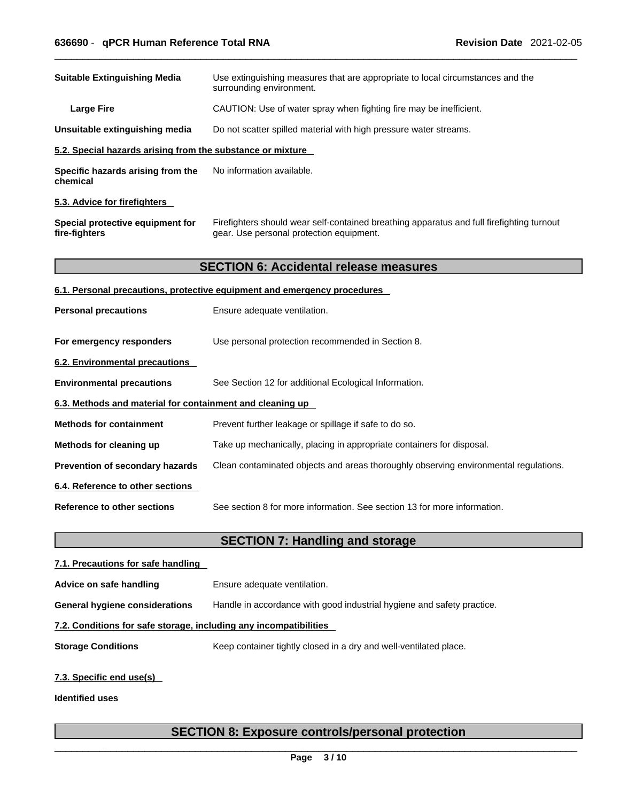| <b>Suitable Extinguishing Media</b><br>Use extinguishing measures that are appropriate to local circumstances and the<br>surrounding environment.<br>CAUTION: Use of water spray when fighting fire may be inefficient.<br><b>Large Fire</b><br>Unsuitable extinguishing media<br>Do not scatter spilled material with high pressure water streams.<br>5.2. Special hazards arising from the substance or mixture<br>No information available.<br>Specific hazards arising from the |  |
|-------------------------------------------------------------------------------------------------------------------------------------------------------------------------------------------------------------------------------------------------------------------------------------------------------------------------------------------------------------------------------------------------------------------------------------------------------------------------------------|--|
|                                                                                                                                                                                                                                                                                                                                                                                                                                                                                     |  |
|                                                                                                                                                                                                                                                                                                                                                                                                                                                                                     |  |
|                                                                                                                                                                                                                                                                                                                                                                                                                                                                                     |  |
|                                                                                                                                                                                                                                                                                                                                                                                                                                                                                     |  |
| chemical                                                                                                                                                                                                                                                                                                                                                                                                                                                                            |  |
| 5.3. Advice for firefighters                                                                                                                                                                                                                                                                                                                                                                                                                                                        |  |
| Firefighters should wear self-contained breathing apparatus and full firefighting turnout<br>Special protective equipment for<br>fire-fighters<br>gear. Use personal protection equipment.                                                                                                                                                                                                                                                                                          |  |
| <b>SECTION 6: Accidental release measures</b>                                                                                                                                                                                                                                                                                                                                                                                                                                       |  |
| 6.1. Personal precautions, protective equipment and emergency procedures                                                                                                                                                                                                                                                                                                                                                                                                            |  |
| <b>Personal precautions</b><br>Ensure adequate ventilation.                                                                                                                                                                                                                                                                                                                                                                                                                         |  |
| For emergency responders<br>Use personal protection recommended in Section 8.                                                                                                                                                                                                                                                                                                                                                                                                       |  |
| 6.2. Environmental precautions                                                                                                                                                                                                                                                                                                                                                                                                                                                      |  |
| See Section 12 for additional Ecological Information.<br><b>Environmental precautions</b>                                                                                                                                                                                                                                                                                                                                                                                           |  |
| 6.3. Methods and material for containment and cleaning up                                                                                                                                                                                                                                                                                                                                                                                                                           |  |
| <b>Methods for containment</b><br>Prevent further leakage or spillage if safe to do so.                                                                                                                                                                                                                                                                                                                                                                                             |  |
| Take up mechanically, placing in appropriate containers for disposal.<br>Methods for cleaning up                                                                                                                                                                                                                                                                                                                                                                                    |  |
| Prevention of secondary hazards<br>Clean contaminated objects and areas thoroughly observing environmental regulations.                                                                                                                                                                                                                                                                                                                                                             |  |
| 6.4. Reference to other sections                                                                                                                                                                                                                                                                                                                                                                                                                                                    |  |
| <b>Reference to other sections</b><br>See section 8 for more information. See section 13 for more information.                                                                                                                                                                                                                                                                                                                                                                      |  |
| <b>SECTION 7: Handling and storage</b>                                                                                                                                                                                                                                                                                                                                                                                                                                              |  |
| 7.1. Precautions for safe handling                                                                                                                                                                                                                                                                                                                                                                                                                                                  |  |
| Ensure adequate ventilation.<br>Advice on safe handling                                                                                                                                                                                                                                                                                                                                                                                                                             |  |

**General hygiene considerations** Handle in accordance with good industrial hygiene and safety practice.

### **7.2. Conditions for safe storage, including any incompatibilities**

**Storage Conditions** Keep container tightly closed in a dry and well-ventilated place.

### **7.3. Specific end use(s)**

**Identified uses**

# **SECTION 8: Exposure controls/personal protection**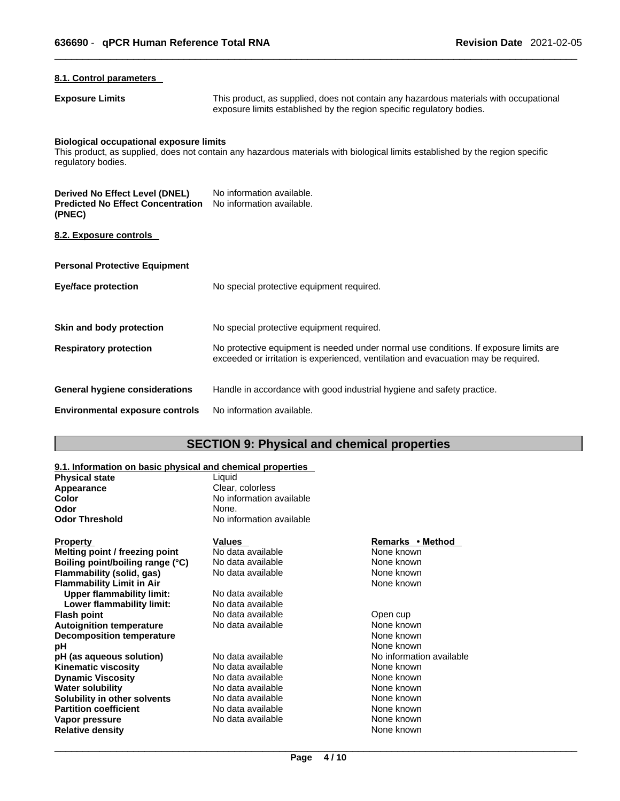| 8.1. Control parameters                                                              |                                                                                                                                                                             |
|--------------------------------------------------------------------------------------|-----------------------------------------------------------------------------------------------------------------------------------------------------------------------------|
| <b>Exposure Limits</b>                                                               | This product, as supplied, does not contain any hazardous materials with occupational<br>exposure limits established by the region specific regulatory bodies.              |
| <b>Biological occupational exposure limits</b><br>regulatory bodies.                 | This product, as supplied, does not contain any hazardous materials with biological limits established by the region specific                                               |
| Derived No Effect Level (DNEL)<br><b>Predicted No Effect Concentration</b><br>(PNEC) | No information available.<br>No information available.                                                                                                                      |
| 8.2. Exposure controls                                                               |                                                                                                                                                                             |
| <b>Personal Protective Equipment</b>                                                 |                                                                                                                                                                             |
| <b>Eye/face protection</b>                                                           | No special protective equipment required.                                                                                                                                   |
| Skin and body protection                                                             | No special protective equipment required.                                                                                                                                   |
| <b>Respiratory protection</b>                                                        | No protective equipment is needed under normal use conditions. If exposure limits are<br>exceeded or irritation is experienced, ventilation and evacuation may be required. |
| General hygiene considerations                                                       | Handle in accordance with good industrial hygiene and safety practice.                                                                                                      |
| <b>Environmental exposure controls</b>                                               | No information available.                                                                                                                                                   |

# **SECTION 9: Physical and chemical properties**

### **9.1. Information on basic physical and chemical properties**

| <b>Physical state</b>            | Liquid                   |                          |
|----------------------------------|--------------------------|--------------------------|
| Appearance                       | Clear, colorless         |                          |
| Color                            | No information available |                          |
| Odor                             | None.                    |                          |
| Odor Threshold                   | No information available |                          |
| Property                         | Values                   | Remarks • Method         |
| Melting point / freezing point   | No data available        | None known               |
| Boiling point/boiling range (°C) | No data available        | None known               |
| Flammability (solid, gas)        | No data available        | None known               |
| Flammability Limit in Air        |                          | None known               |
| <b>Upper flammability limit:</b> | No data available        |                          |
| Lower flammability limit:        | No data available        |                          |
| Flash point                      | No data available        | Open cup                 |
| <b>Autoignition temperature</b>  | No data available        | None known               |
| <b>Decomposition temperature</b> |                          | None known               |
| рH                               |                          | None known               |
| pH (as aqueous solution)         | No data available        | No information available |
| Kinematic viscosity              | No data available        | None known               |
| <b>Dynamic Viscosity</b>         | No data available        | None known               |
| <b>Water solubility</b>          | No data available        | None known               |
| Solubility in other solvents     | No data available        | None known               |
| <b>Partition coefficient</b>     | No data available        | None known               |
| Vapor pressure                   | No data available        | None known               |
| Relative density                 |                          | None known               |
|                                  |                          |                          |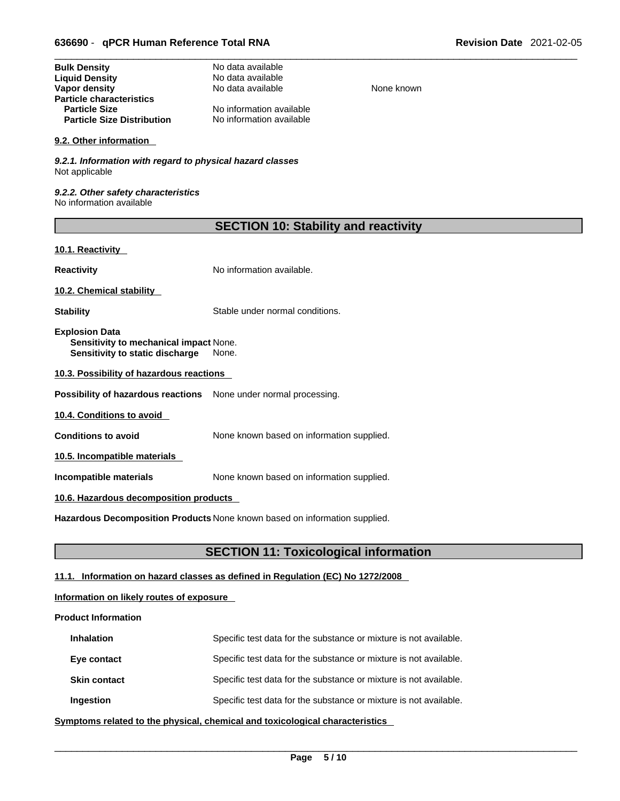| <b>Bulk Density</b>               | No data available        |
|-----------------------------------|--------------------------|
| <b>Liquid Density</b>             | No data available        |
| Vapor density                     | No data available        |
| <b>Particle characteristics</b>   |                          |
| <b>Particle Size</b>              | No information available |
| <b>Particle Size Distribution</b> | No information available |

### **9.2. Other information**

*9.2.1. Information with regard to physical hazard classes* Not applicable

*9.2.2. Other safety characteristics* No information available

**None known** 

### **10.1. Reactivity**

**Reactivity No information available.** 

**10.2. Chemical stability** 

**Stability** Stable under normal conditions.

**Explosion Data Sensitivity to mechanical impact** None. **Sensitivity to static discharge** None.

**10.3. Possibility of hazardous reactions**

**Possibility of hazardous reactions** None under normal processing.

**10.4. Conditions to avoid** 

**Conditions to avoid** None known based on information supplied.

**10.5. Incompatible materials**

**Incompatible materials** None known based on information supplied.

### **10.6. Hazardous decomposition products**

**Hazardous Decomposition Products** None known based on information supplied.

### **SECTION 11: Toxicological information**

### **11.1. Information on hazard classes as defined in Regulation (EC) No 1272/2008**

### **Information on likely routes of exposure**

### **Product Information**

| <b>Inhalation</b>   | Specific test data for the substance or mixture is not available. |
|---------------------|-------------------------------------------------------------------|
| Eye contact         | Specific test data for the substance or mixture is not available. |
| <b>Skin contact</b> | Specific test data for the substance or mixture is not available. |
| Ingestion           | Specific test data for the substance or mixture is not available. |

**<u>Symptoms related to the physical, chemical and toxicological characteristics</u>**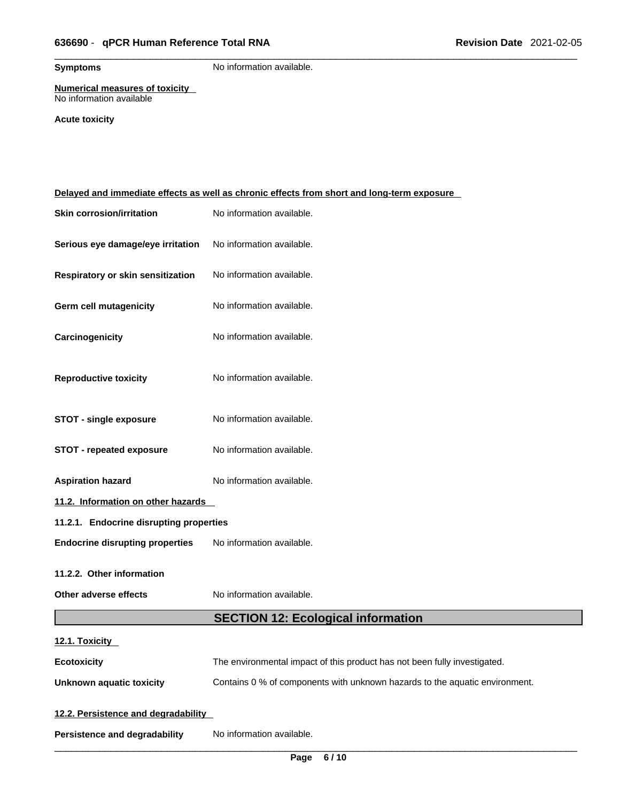**Symptoms** No information available.

### **Numerical measures of toxicity** No information available

### **Acute toxicity**

| Delayed and immediate effects as well as chronic effects from short and long-term exposure |                                                                             |
|--------------------------------------------------------------------------------------------|-----------------------------------------------------------------------------|
| <b>Skin corrosion/irritation</b>                                                           | No information available.                                                   |
| Serious eye damage/eye irritation                                                          | No information available.                                                   |
| Respiratory or skin sensitization                                                          | No information available.                                                   |
| <b>Germ cell mutagenicity</b>                                                              | No information available.                                                   |
| Carcinogenicity                                                                            | No information available.                                                   |
| <b>Reproductive toxicity</b>                                                               | No information available.                                                   |
| <b>STOT - single exposure</b>                                                              | No information available.                                                   |
| <b>STOT - repeated exposure</b>                                                            | No information available.                                                   |
| <b>Aspiration hazard</b>                                                                   | No information available.                                                   |
| 11.2. Information on other hazards                                                         |                                                                             |
| 11.2.1. Endocrine disrupting properties                                                    |                                                                             |
| <b>Endocrine disrupting properties</b>                                                     | No information available.                                                   |
| 11.2.2. Other information                                                                  |                                                                             |
| Other adverse effects                                                                      | No information available.                                                   |
|                                                                                            | <b>SECTION 12: Ecological information</b>                                   |
| 12.1. Toxicity                                                                             |                                                                             |
| <b>Ecotoxicity</b>                                                                         | The environmental impact of this product has not been fully investigated.   |
| <b>Unknown aquatic toxicity</b>                                                            | Contains 0 % of components with unknown hazards to the aquatic environment. |
| 12.2. Persistence and degradability                                                        |                                                                             |
| Persistence and degradability                                                              | No information available.                                                   |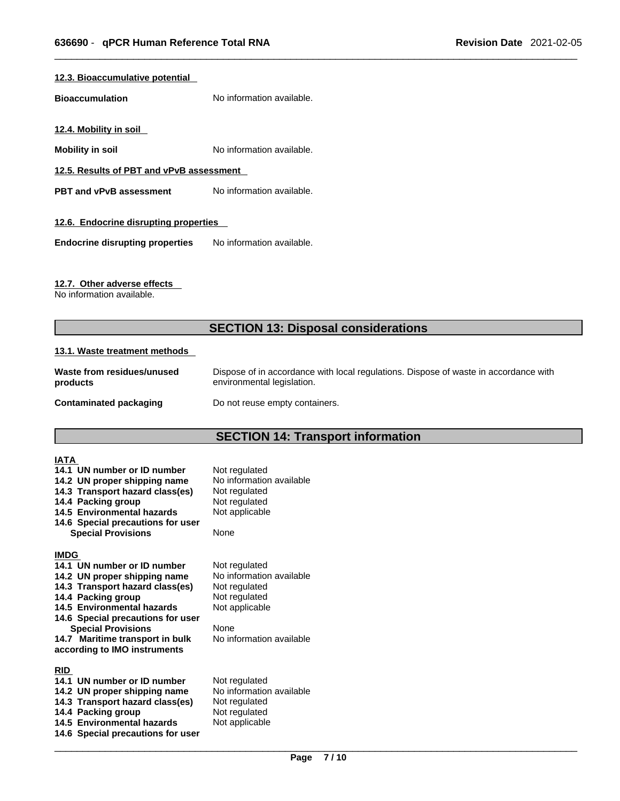### **12.3. Bioaccumulative potential**

**Bioaccumulation** No information available.

**12.4. Mobility in soil** 

**Mobility in soil** No information available.

**12.5. Results of PBT and vPvB assessment**

**PBT** and **vPvB** assessment No information available.

### **12.6. Endocrine disrupting properties**

**Endocrine disrupting properties** No information available.

### **12.7. Other adverse effects**

No information available.

# **SECTION 13: Disposal considerations**

### **13.1. Waste treatment methods**

| Waste from residues/unused    | Dispose of in accordance with local regulations. Dispose of waste in accordance with |
|-------------------------------|--------------------------------------------------------------------------------------|
| products                      | environmental legislation.                                                           |
| <b>Contaminated packaging</b> | Do not reuse empty containers.                                                       |

# **SECTION 14: Transport information**

| <b>IATA</b><br>14.1 UN number or ID number<br>14.2 UN proper shipping name<br>14.3 Transport hazard class(es)<br>14.4 Packing group<br>14.5 Environmental hazards<br>14.6 Special precautions for user<br><b>Special Provisions</b>                                                                    | Not regulated<br>No information available<br>Not regulated<br>Not regulated<br>Not applicable<br>None                             |
|--------------------------------------------------------------------------------------------------------------------------------------------------------------------------------------------------------------------------------------------------------------------------------------------------------|-----------------------------------------------------------------------------------------------------------------------------------|
| <b>IMDG</b><br>14.1 UN number or ID number<br>14.2 UN proper shipping name<br>14.3 Transport hazard class(es)<br>14.4 Packing group<br>14.5 Environmental hazards<br>14.6 Special precautions for user<br><b>Special Provisions</b><br>14.7 Maritime transport in bulk<br>according to IMO instruments | Not regulated<br>No information available<br>Not regulated<br>Not regulated<br>Not applicable<br>None<br>No information available |
| <b>RID</b><br>14.1 UN number or ID number<br>14.2 UN proper shipping name<br>14.3 Transport hazard class(es)<br>14.4 Packing group<br>14.5 Environmental hazards<br>14.6 Special precautions for user                                                                                                  | Not regulated<br>No information available<br>Not regulated<br>Not regulated<br>Not applicable                                     |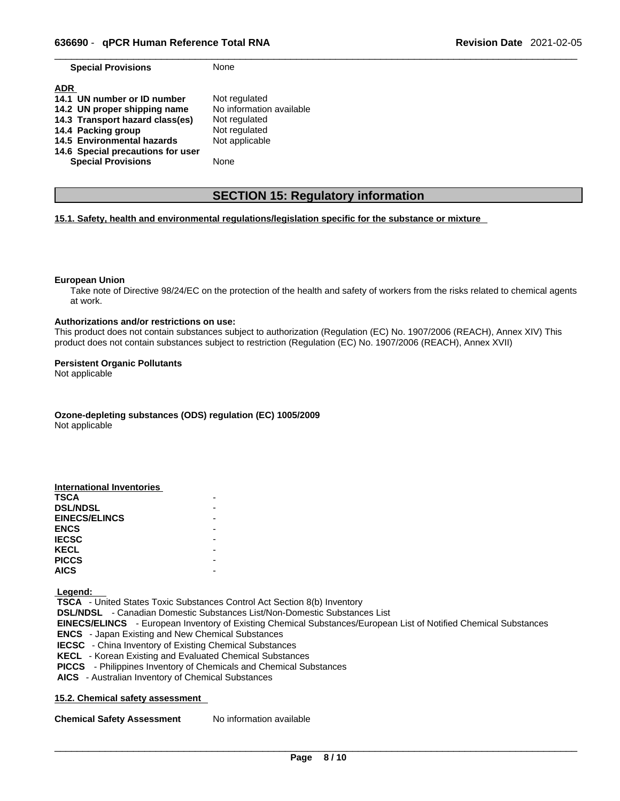| <b>Special Provisions</b> | None |
|---------------------------|------|
|---------------------------|------|

| <b>ADR</b>                        |                          |
|-----------------------------------|--------------------------|
| 14.1 UN number or ID number       | Not regulated            |
| 14.2 UN proper shipping name      | No information available |
| 14.3 Transport hazard class(es)   | Not regulated            |
| 14.4 Packing group                | Not regulated            |
| 14.5 Environmental hazards        | Not applicable           |
| 14.6 Special precautions for user |                          |
| <b>Special Provisions</b>         | None                     |

### **SECTION 15: Regulatory information**

### **15.1. Safety, health and environmental regulations/legislation specific for the substance or mixture**

### **European Union**

Take note of Directive 98/24/EC on the protection of the health and safety of workers from the risks related to chemical agents at work.

### **Authorizations and/or restrictions on use:**

This product does not contain substances subject to authorization (Regulation (EC) No. 1907/2006 (REACH), Annex XIV) This product does not contain substances subject to restriction (Regulation (EC) No. 1907/2006 (REACH), Annex XVII)

### **Persistent Organic Pollutants**

Not applicable

**Ozone-depleting substances (ODS) regulation (EC) 1005/2009**

Not applicable

| International Inventories |  |
|---------------------------|--|
| <b>TSCA</b>               |  |
| <b>DSL/NDSL</b>           |  |
| <b>EINECS/ELINCS</b>      |  |
| <b>ENCS</b>               |  |
| <b>IECSC</b>              |  |
| <b>KECL</b>               |  |
| <b>PICCS</b>              |  |
| <b>AICS</b>               |  |

 **Legend:** 

 **TSCA** - United States Toxic Substances Control Act Section 8(b) Inventory  **DSL/NDSL** - Canadian Domestic Substances List/Non-Domestic Substances List  **EINECS/ELINCS** - European Inventory of Existing Chemical Substances/European List of Notified Chemical Substances  **ENCS** - Japan Existing and New Chemical Substances  **IECSC** - China Inventory of Existing Chemical Substances  **KECL** - Korean Existing and Evaluated Chemical Substances  **PICCS** - Philippines Inventory of Chemicals and Chemical Substances  **AICS** - Australian Inventory of Chemical Substances

### **15.2. Chemical safety assessment**

**Chemical Safety Assessment** No information available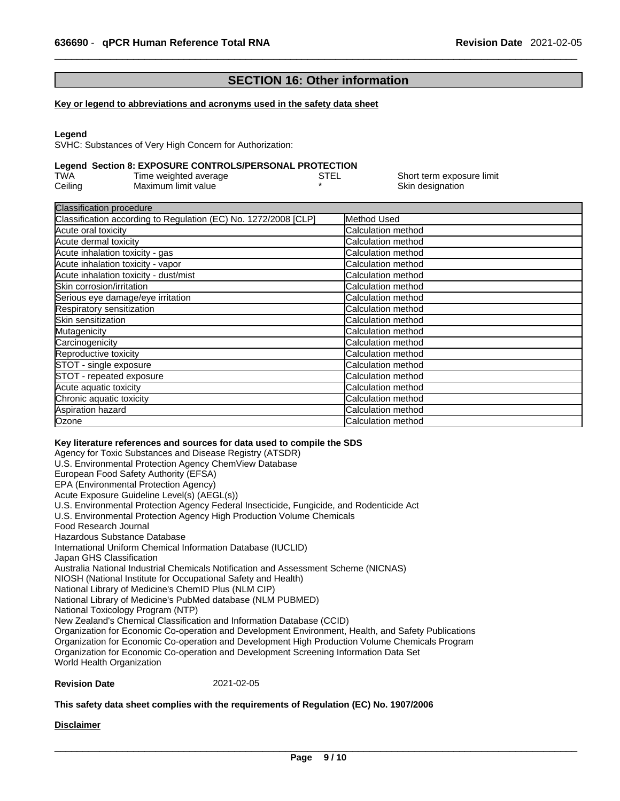# **SECTION 16: Other information**

### **Key or legend to abbreviations and acronyms used in the safety data sheet**

### **Legend**

SVHC: Substances of Very High Concern for Authorization:

### **Legend Section 8: EXPOSURE CONTROLS/PERSONAL PROTECTION**

| TWA     | Time weighted average | STEL | Short term exposure limit |
|---------|-----------------------|------|---------------------------|
| Ceiling | Maximum limit value   |      | Skin designation          |

| Method Used                |
|----------------------------|
| Calculation method         |
| Calculation method         |
| <b>Calculation method</b>  |
| <b>Calculation method</b>  |
| <b>Calculation method</b>  |
| <b>ICalculation method</b> |
| <b>Calculation method</b>  |
| Calculation method         |
| Calculation method         |
| Calculation method         |
| <b>Calculation method</b>  |
| <b>Calculation method</b>  |
| Calculation method         |
| <b>Calculation method</b>  |
| <b>Calculation method</b>  |
| <b>Calculation method</b>  |
| <b>ICalculation method</b> |
| Calculation method         |
|                            |

### **Key literature references and sources for data used to compile the SDS**

Agency for Toxic Substances and Disease Registry (ATSDR) U.S. Environmental Protection Agency ChemView Database European Food Safety Authority (EFSA) EPA (Environmental Protection Agency) Acute Exposure Guideline Level(s) (AEGL(s)) U.S. Environmental Protection Agency Federal Insecticide, Fungicide, and Rodenticide Act U.S. Environmental Protection Agency High Production Volume Chemicals Food Research Journal Hazardous Substance Database International Uniform Chemical Information Database (IUCLID) Japan GHS Classification Australia National Industrial Chemicals Notification and Assessment Scheme (NICNAS) NIOSH (National Institute for Occupational Safety and Health) National Library of Medicine's ChemID Plus (NLM CIP) National Library of Medicine's PubMed database (NLM PUBMED) National Toxicology Program (NTP) New Zealand's Chemical Classification and Information Database (CCID) Organization for Economic Co-operation and Development Environment, Health, and Safety Publications Organization for Economic Co-operation and Development High Production Volume Chemicals Program Organization for Economic Co-operation and Development Screening Information Data Set World Health Organization

### **Revision Date** 2021-02-05

### **This safety data sheet complies with the requirements of Regulation (EC) No. 1907/2006**

### **Disclaimer**